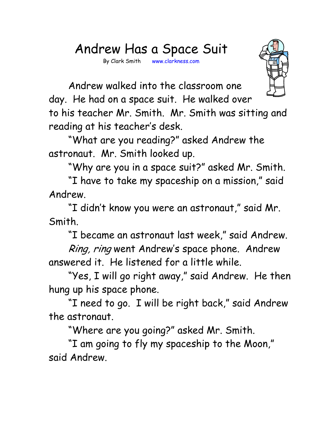## Andrew Has a Space Suit

By Clark Smith www.clarkness.com



 Andrew walked into the classroom one day. He had on a space suit. He walked over

to his teacher Mr. Smith. Mr. Smith was sitting and reading at his teacher's desk.

 "What are you reading?" asked Andrew the astronaut. Mr. Smith looked up.

"Why are you in a space suit?" asked Mr. Smith.

 "I have to take my spaceship on a mission," said Andrew.

 "I didn't know you were an astronaut," said Mr. Smith.

"I became an astronaut last week," said Andrew.

Ring, ring went Andrew's space phone. Andrew answered it. He listened for a little while.

 "Yes, I will go right away," said Andrew. He then hung up his space phone.

 "I need to go. I will be right back," said Andrew the astronaut.

"Where are you going?" asked Mr. Smith.

 "I am going to fly my spaceship to the Moon," said Andrew.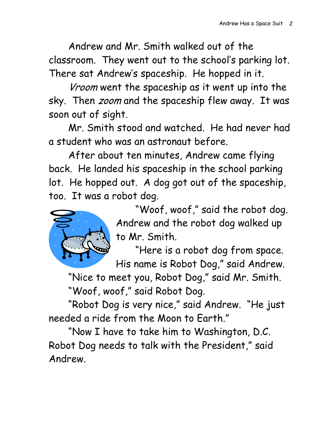Andrew and Mr. Smith walked out of the classroom. They went out to the school's parking lot. There sat Andrew's spaceship. He hopped in it.

Vroom went the spaceship as it went up into the sky. Then *zoom* and the spaceship flew away. It was soon out of sight.

 Mr. Smith stood and watched. He had never had a student who was an astronaut before.

 After about ten minutes, Andrew came flying back. He landed his spaceship in the school parking lot. He hopped out. A dog got out of the spaceship, too. It was a robot dog.



 "Woof, woof," said the robot dog. Andrew and the robot dog walked up to Mr. Smith.

 "Here is a robot dog from space. His name is Robot Dog," said Andrew.

 "Nice to meet you, Robot Dog," said Mr. Smith. "Woof, woof," said Robot Dog.

 "Robot Dog is very nice," said Andrew. "He just needed a ride from the Moon to Earth."

 "Now I have to take him to Washington, D.C. Robot Dog needs to talk with the President," said Andrew.